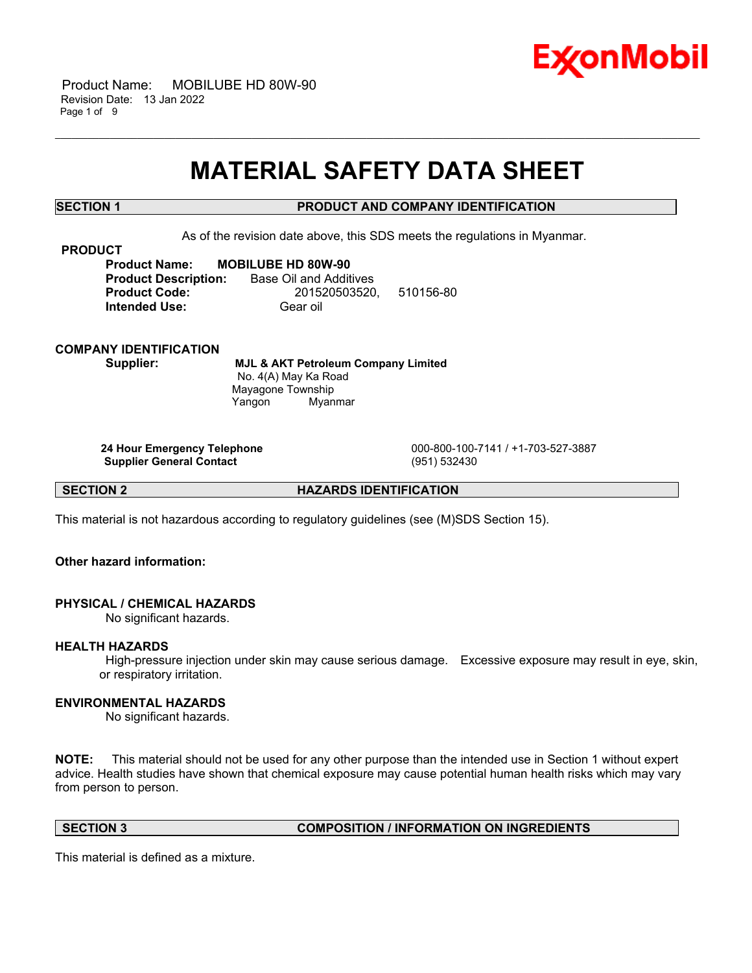

 Product Name: MOBILUBE HD 80W-90 Revision Date: 13 Jan 2022 Page 1 of 9

# **MATERIAL SAFETY DATA SHEET**

\_\_\_\_\_\_\_\_\_\_\_\_\_\_\_\_\_\_\_\_\_\_\_\_\_\_\_\_\_\_\_\_\_\_\_\_\_\_\_\_\_\_\_\_\_\_\_\_\_\_\_\_\_\_\_\_\_\_\_\_\_\_\_\_\_\_\_\_\_\_\_\_\_\_\_\_\_\_\_\_\_\_\_\_\_\_\_\_\_\_\_\_\_\_\_\_\_\_\_\_\_\_\_\_\_\_\_\_\_\_\_\_\_\_\_\_\_\_

### **SECTION 1 PRODUCT AND COMPANY IDENTIFICATION**

As of the revision date above, this SDS meets the regulations in Myanmar.

**PRODUCT**

**Product Name: MOBILUBE HD 80W-90 Product Description:** Base Oil and Additives **Product Code:** 201520503520, 510156-80 **Intended Use:** Gear oil

**COMPANY IDENTIFICATION**

**Supplier: MJL & AKT Petroleum Company Limited** No. 4(A) May Ka Road Mayagone Township Yangon Myanmar

**Supplier General Contact** (951) 532430

**24 Hour Emergency Telephone** 000-800-100-7141 / +1-703-527-3887

**SECTION 2 HAZARDS IDENTIFICATION**

This material is not hazardous according to regulatory guidelines (see (M)SDS Section 15).

**Other hazard information:**

#### **PHYSICAL / CHEMICAL HAZARDS**

No significant hazards.

#### **HEALTH HAZARDS**

High-pressure injection under skin may cause serious damage. Excessive exposure may result in eye, skin, or respiratory irritation.

### **ENVIRONMENTAL HAZARDS**

No significant hazards.

**NOTE:** This material should not be used for any other purpose than the intended use in Section 1 without expert advice. Health studies have shown that chemical exposure may cause potential human health risks which may vary from person to person.

# **SECTION 3 COMPOSITION / INFORMATION ON INGREDIENTS**

This material is defined as a mixture.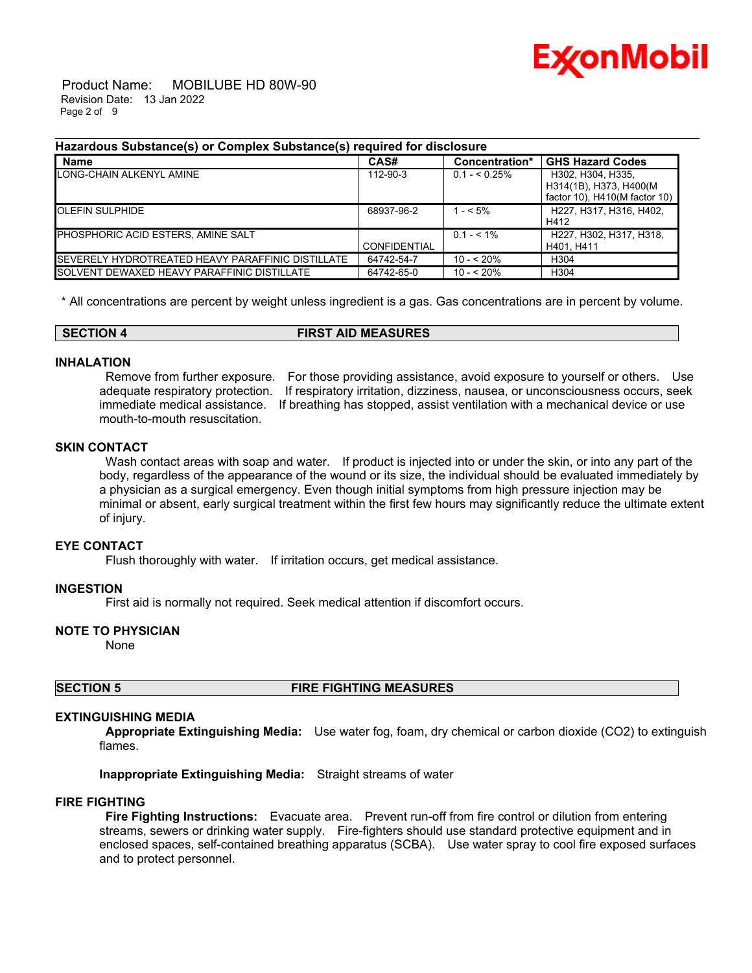

 Product Name: MOBILUBE HD 80W-90 Revision Date: 13 Jan 2022 Page 2 of 9

#### \_\_\_\_\_\_\_\_\_\_\_\_\_\_\_\_\_\_\_\_\_\_\_\_\_\_\_\_\_\_\_\_\_\_\_\_\_\_\_\_\_\_\_\_\_\_\_\_\_\_\_\_\_\_\_\_\_\_\_\_\_\_\_\_\_\_\_\_\_\_\_\_\_\_\_\_\_\_\_\_\_\_\_\_\_\_\_\_\_\_\_\_\_\_\_\_\_\_\_\_\_\_\_\_\_\_\_\_\_\_\_\_\_\_\_\_\_\_ **Hazardous Substance(s) or Complex Substance(s) required for disclosure**

| <b>Name</b>                                               | CAS#                | Concentration* | <b>GHS Hazard Codes</b>                                                      |
|-----------------------------------------------------------|---------------------|----------------|------------------------------------------------------------------------------|
| LONG-CHAIN ALKENYL AMINE                                  | 112-90-3            | $0.1 - 5.25\%$ | H302, H304, H335,<br>H314(1B), H373, H400(M<br>factor 10), H410(M factor 10) |
| <b>OLEFIN SULPHIDE</b>                                    | 68937-96-2          | $1 - 5\%$      | H227. H317. H316. H402.<br>H412                                              |
| PHOSPHORIC ACID ESTERS, AMINE SALT                        | <b>CONFIDENTIAL</b> | $0.1 - 5.1\%$  | H227, H302, H317, H318,<br>H401, H411                                        |
| <b>ISEVERELY HYDROTREATED HEAVY PARAFFINIC DISTILLATE</b> | 64742-54-7          | $10 - 520%$    | H <sub>304</sub>                                                             |
| <b>ISOLVENT DEWAXED HEAVY PARAFFINIC DISTILLATE</b>       | 64742-65-0          | $10 - 520%$    | H <sub>304</sub>                                                             |

\* All concentrations are percent by weight unless ingredient is a gas. Gas concentrations are in percent by volume.

# **SECTION 4 FIRST AID MEASURES**

#### **INHALATION**

Remove from further exposure. For those providing assistance, avoid exposure to yourself or others. Use adequate respiratory protection. If respiratory irritation, dizziness, nausea, or unconsciousness occurs, seek immediate medical assistance. If breathing has stopped, assist ventilation with a mechanical device or use mouth-to-mouth resuscitation.

### **SKIN CONTACT**

Wash contact areas with soap and water. If product is injected into or under the skin, or into any part of the body, regardless of the appearance of the wound or its size, the individual should be evaluated immediately by a physician as a surgical emergency. Even though initial symptoms from high pressure injection may be minimal or absent, early surgical treatment within the first few hours may significantly reduce the ultimate extent of injury.

### **EYE CONTACT**

Flush thoroughly with water. If irritation occurs, get medical assistance.

#### **INGESTION**

First aid is normally not required. Seek medical attention if discomfort occurs.

# **NOTE TO PHYSICIAN**

None

### **SECTION 5 FIRE FIGHTING MEASURES**

#### **EXTINGUISHING MEDIA**

**Appropriate Extinguishing Media:** Use water fog, foam, dry chemical or carbon dioxide (CO2) to extinguish flames.

**Inappropriate Extinguishing Media:** Straight streams of water

#### **FIRE FIGHTING**

**Fire Fighting Instructions:** Evacuate area. Prevent run-off from fire control or dilution from entering streams, sewers or drinking water supply. Fire-fighters should use standard protective equipment and in enclosed spaces, self-contained breathing apparatus (SCBA). Use water spray to cool fire exposed surfaces and to protect personnel.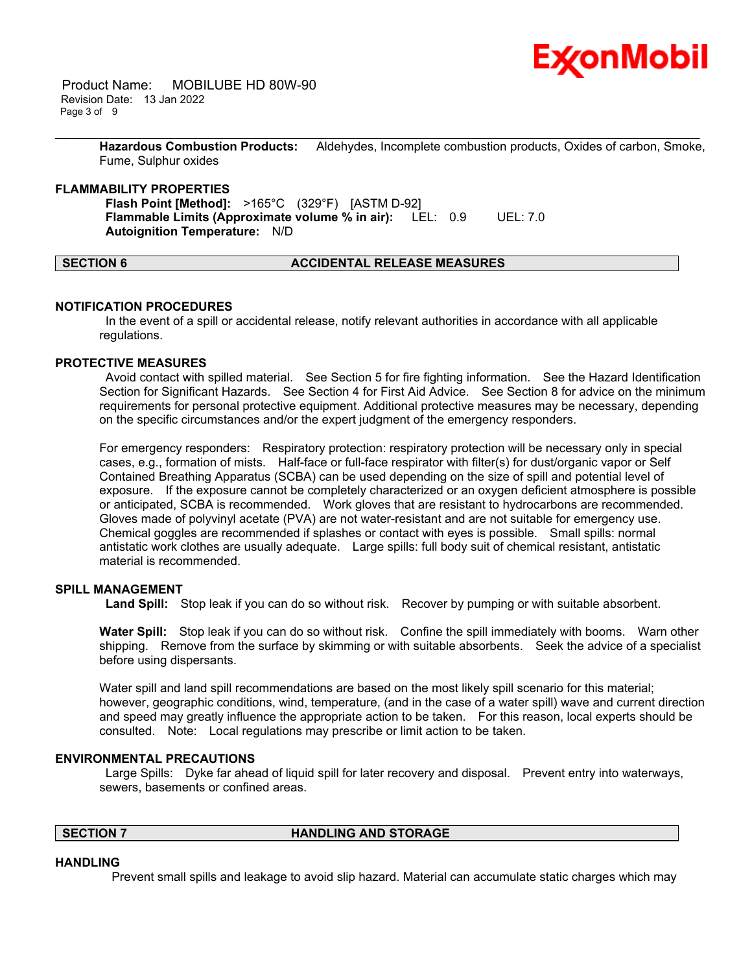

 Product Name: MOBILUBE HD 80W-90 Revision Date: 13 Jan 2022 Page 3 of 9

> **Hazardous Combustion Products:** Aldehydes, Incomplete combustion products, Oxides of carbon, Smoke, Fume, Sulphur oxides

\_\_\_\_\_\_\_\_\_\_\_\_\_\_\_\_\_\_\_\_\_\_\_\_\_\_\_\_\_\_\_\_\_\_\_\_\_\_\_\_\_\_\_\_\_\_\_\_\_\_\_\_\_\_\_\_\_\_\_\_\_\_\_\_\_\_\_\_\_\_\_\_\_\_\_\_\_\_\_\_\_\_\_\_\_\_\_\_\_\_\_\_\_\_\_\_\_\_\_\_\_\_\_\_\_\_\_\_\_\_\_\_\_\_\_\_\_\_

#### **FLAMMABILITY PROPERTIES**

**Flash Point [Method]:** >165°C (329°F) [ASTM D-92] **Flammable Limits (Approximate volume % in air):** LEL: 0.9 UEL: 7.0 **Autoignition Temperature:** N/D

#### **SECTION 6 ACCIDENTAL RELEASE MEASURES**

#### **NOTIFICATION PROCEDURES**

In the event of a spill or accidental release, notify relevant authorities in accordance with all applicable regulations.

#### **PROTECTIVE MEASURES**

Avoid contact with spilled material. See Section 5 for fire fighting information. See the Hazard Identification Section for Significant Hazards. See Section 4 for First Aid Advice. See Section 8 for advice on the minimum requirements for personal protective equipment. Additional protective measures may be necessary, depending on the specific circumstances and/or the expert judgment of the emergency responders.

For emergency responders: Respiratory protection: respiratory protection will be necessary only in special cases, e.g., formation of mists. Half-face or full-face respirator with filter(s) for dust/organic vapor or Self Contained Breathing Apparatus (SCBA) can be used depending on the size of spill and potential level of exposure. If the exposure cannot be completely characterized or an oxygen deficient atmosphere is possible or anticipated, SCBA is recommended. Work gloves that are resistant to hydrocarbons are recommended. Gloves made of polyvinyl acetate (PVA) are not water-resistant and are not suitable for emergency use. Chemical goggles are recommended if splashes or contact with eyes is possible. Small spills: normal antistatic work clothes are usually adequate. Large spills: full body suit of chemical resistant, antistatic material is recommended.

### **SPILL MANAGEMENT**

**Land Spill:** Stop leak if you can do so without risk. Recover by pumping or with suitable absorbent.

**Water Spill:** Stop leak if you can do so without risk. Confine the spill immediately with booms. Warn other shipping. Remove from the surface by skimming or with suitable absorbents. Seek the advice of a specialist before using dispersants.

Water spill and land spill recommendations are based on the most likely spill scenario for this material; however, geographic conditions, wind, temperature, (and in the case of a water spill) wave and current direction and speed may greatly influence the appropriate action to be taken. For this reason, local experts should be consulted. Note: Local regulations may prescribe or limit action to be taken.

#### **ENVIRONMENTAL PRECAUTIONS**

Large Spills: Dyke far ahead of liquid spill for later recovery and disposal. Prevent entry into waterways, sewers, basements or confined areas.

#### **SECTION 7 HANDLING AND STORAGE**

#### **HANDLING**

Prevent small spills and leakage to avoid slip hazard. Material can accumulate static charges which may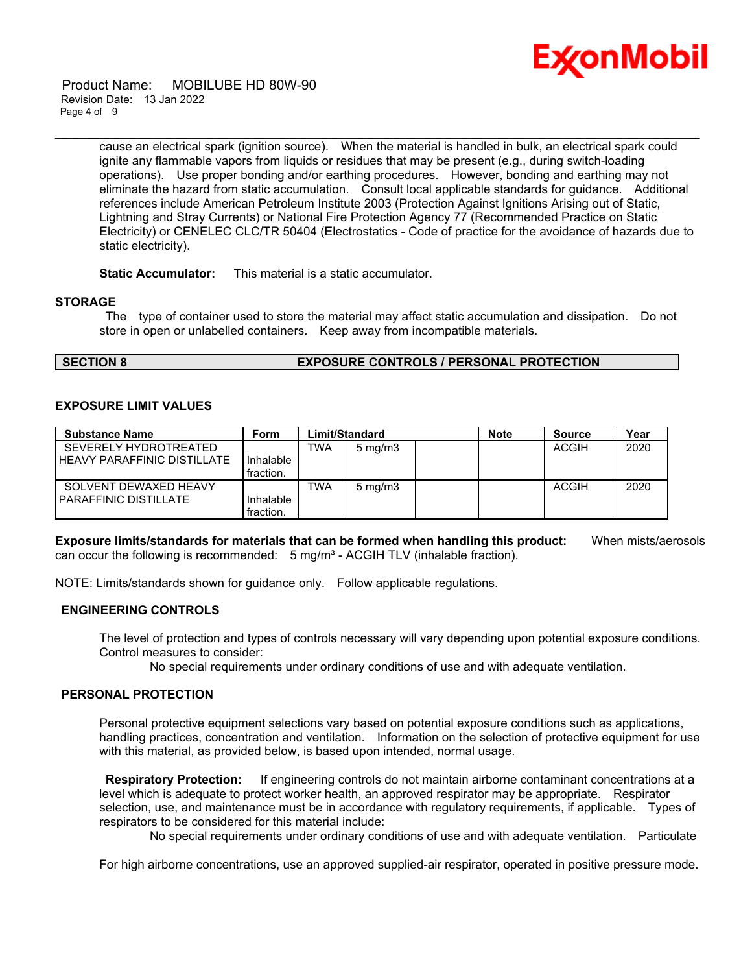

 Product Name: MOBILUBE HD 80W-90 Revision Date: 13 Jan 2022 Page 4 of 9

> cause an electrical spark (ignition source). When the material is handled in bulk, an electrical spark could ignite any flammable vapors from liquids or residues that may be present (e.g., during switch-loading operations). Use proper bonding and/or earthing procedures. However, bonding and earthing may not eliminate the hazard from static accumulation. Consult local applicable standards for guidance. Additional references include American Petroleum Institute 2003 (Protection Against Ignitions Arising out of Static, Lightning and Stray Currents) or National Fire Protection Agency 77 (Recommended Practice on Static Electricity) or CENELEC CLC/TR 50404 (Electrostatics - Code of practice for the avoidance of hazards due to static electricity).

\_\_\_\_\_\_\_\_\_\_\_\_\_\_\_\_\_\_\_\_\_\_\_\_\_\_\_\_\_\_\_\_\_\_\_\_\_\_\_\_\_\_\_\_\_\_\_\_\_\_\_\_\_\_\_\_\_\_\_\_\_\_\_\_\_\_\_\_\_\_\_\_\_\_\_\_\_\_\_\_\_\_\_\_\_\_\_\_\_\_\_\_\_\_\_\_\_\_\_\_\_\_\_\_\_\_\_\_\_\_\_\_\_\_\_\_\_\_

**Static Accumulator:** This material is a static accumulator.

#### **STORAGE**

The type of container used to store the material may affect static accumulation and dissipation. Do not store in open or unlabelled containers. Keep away from incompatible materials.

# **EXPOSURE LIMIT VALUES**

| <b>Substance Name</b>         | <b>Form</b> | Limit/Standard |                  | <b>Note</b> | <b>Source</b> | Year |
|-------------------------------|-------------|----------------|------------------|-------------|---------------|------|
| <b>SEVERELY HYDROTREATED</b>  |             | TWA            | $5 \text{ mg/m}$ |             | ACGIH         | 2020 |
| I HEAVY PARAFFINIC DISTILLATE | Inhalable   |                |                  |             |               |      |
|                               | fraction.   |                |                  |             |               |      |
| SOLVENT DEWAXED HEAVY         |             | <b>TWA</b>     | $5 \text{ mg/m}$ |             | ACGIH         | 2020 |
| I PARAFFINIC DISTILLATE       | Inhalable   |                |                  |             |               |      |
|                               | fraction.   |                |                  |             |               |      |

**Exposure limits/standards for materials that can be formed when handling this product:** When mists/aerosols can occur the following is recommended:  $5 \text{ mg/m}^3$  - ACGIH TLV (inhalable fraction).

NOTE: Limits/standards shown for guidance only. Follow applicable regulations.

#### **ENGINEERING CONTROLS**

The level of protection and types of controls necessary will vary depending upon potential exposure conditions. Control measures to consider:

No special requirements under ordinary conditions of use and with adequate ventilation.

#### **PERSONAL PROTECTION**

Personal protective equipment selections vary based on potential exposure conditions such as applications, handling practices, concentration and ventilation. Information on the selection of protective equipment for use with this material, as provided below, is based upon intended, normal usage.

**Respiratory Protection:** If engineering controls do not maintain airborne contaminant concentrations at a level which is adequate to protect worker health, an approved respirator may be appropriate. Respirator selection, use, and maintenance must be in accordance with regulatory requirements, if applicable. Types of respirators to be considered for this material include:

No special requirements under ordinary conditions of use and with adequate ventilation. Particulate

For high airborne concentrations, use an approved supplied-air respirator, operated in positive pressure mode.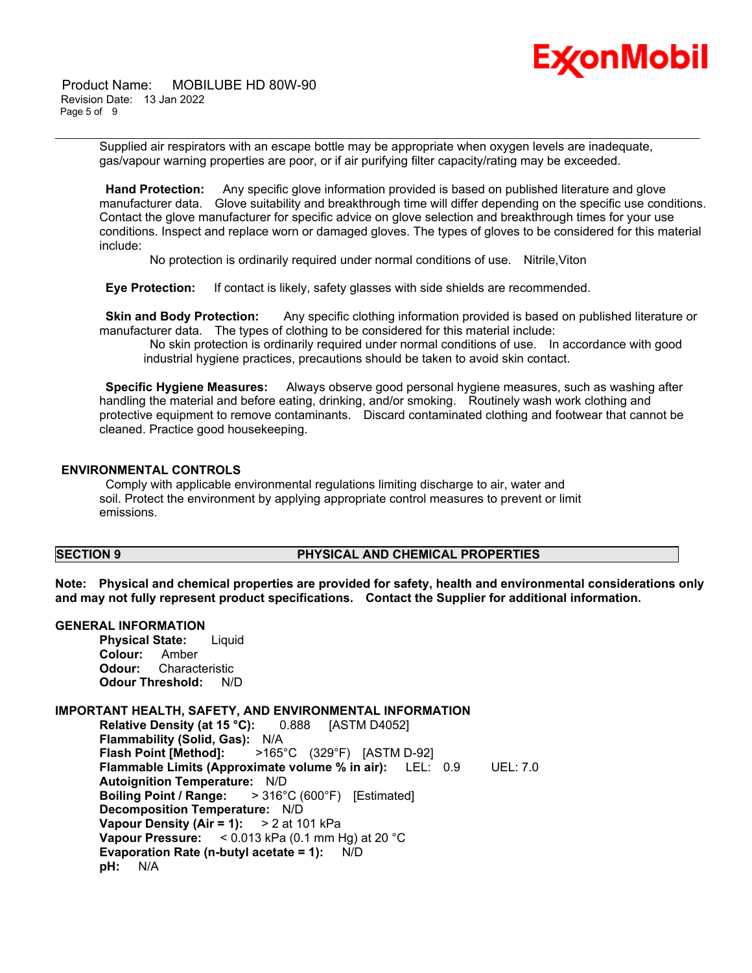

 Product Name: MOBILUBE HD 80W-90 Revision Date: 13 Jan 2022 Page 5 of 9

\_\_\_\_\_\_\_\_\_\_\_\_\_\_\_\_\_\_\_\_\_\_\_\_\_\_\_\_\_\_\_\_\_\_\_\_\_\_\_\_\_\_\_\_\_\_\_\_\_\_\_\_\_\_\_\_\_\_\_\_\_\_\_\_\_\_\_\_\_\_\_\_\_\_\_\_\_\_\_\_\_\_\_\_\_\_\_\_\_\_\_\_\_\_\_\_\_\_\_\_\_\_\_\_\_\_\_\_\_\_\_\_\_\_\_\_\_\_ Supplied air respirators with an escape bottle may be appropriate when oxygen levels are inadequate, gas/vapour warning properties are poor, or if air purifying filter capacity/rating may be exceeded.

**Hand Protection:** Any specific glove information provided is based on published literature and glove manufacturer data. Glove suitability and breakthrough time will differ depending on the specific use conditions. Contact the glove manufacturer for specific advice on glove selection and breakthrough times for your use conditions. Inspect and replace worn or damaged gloves. The types of gloves to be considered for this material include:

No protection is ordinarily required under normal conditions of use. Nitrile,Viton

**Eye Protection:** If contact is likely, safety glasses with side shields are recommended.

**Skin and Body Protection:** Any specific clothing information provided is based on published literature or manufacturer data. The types of clothing to be considered for this material include:

No skin protection is ordinarily required under normal conditions of use. In accordance with good industrial hygiene practices, precautions should be taken to avoid skin contact.

**Specific Hygiene Measures:** Always observe good personal hygiene measures, such as washing after handling the material and before eating, drinking, and/or smoking. Routinely wash work clothing and protective equipment to remove contaminants. Discard contaminated clothing and footwear that cannot be cleaned. Practice good housekeeping.

#### **ENVIRONMENTAL CONTROLS**

Comply with applicable environmental regulations limiting discharge to air, water and soil. Protect the environment by applying appropriate control measures to prevent or limit emissions.

# **SECTION 9 PHYSICAL AND CHEMICAL PROPERTIES**

**Note: Physical and chemical properties are provided for safety, health and environmental considerations only and may not fully represent product specifications. Contact the Supplier for additional information.**

#### **GENERAL INFORMATION**

**Physical State:** Liquid **Colour:** Amber **Odour:** Characteristic **Odour Threshold:** N/D

#### **IMPORTANT HEALTH, SAFETY, AND ENVIRONMENTAL INFORMATION**

**Relative Density (at 15 °C):** 0.888 [ASTM D4052] **Flammability (Solid, Gas):** N/A **Flash Point [Method]:** >165°C (329°F) [ASTM D-92] **Flammable Limits (Approximate volume % in air):** LEL: 0.9 UEL: 7.0 **Autoignition Temperature:** N/D **Boiling Point / Range:** > 316°C (600°F) [Estimated] **Decomposition Temperature:** N/D **Vapour Density (Air = 1):** > 2 at 101 kPa **Vapour Pressure:** < 0.013 kPa (0.1 mm Hg) at 20 °C **Evaporation Rate (n-butyl acetate = 1):** N/D **pH:** N/A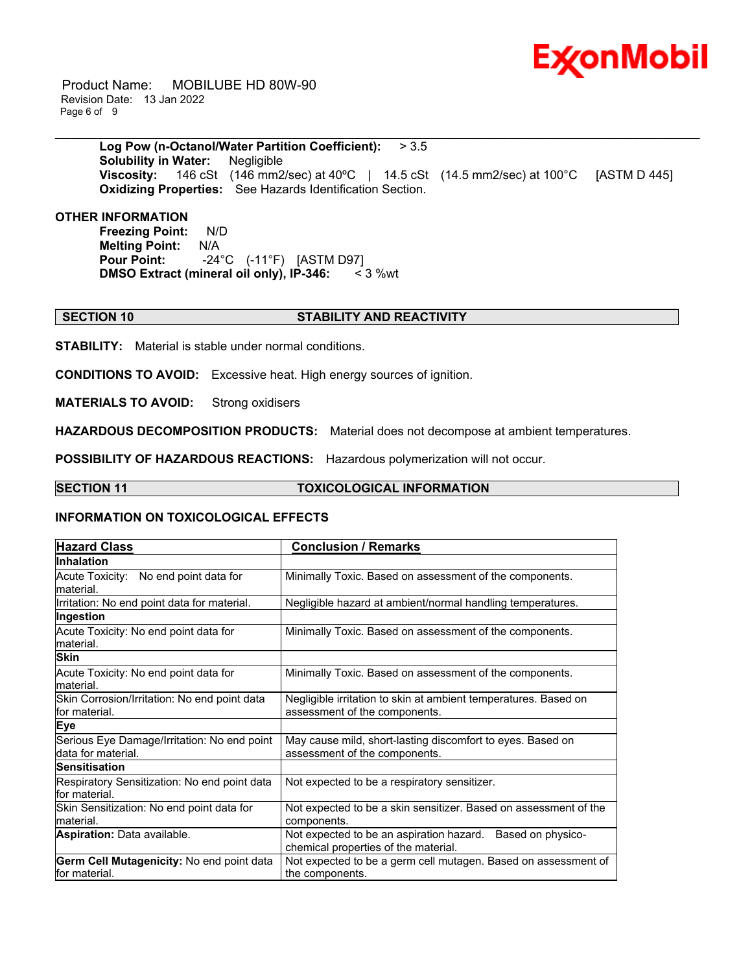

 Product Name: MOBILUBE HD 80W-90 Revision Date: 13 Jan 2022 Page 6 of 9

#### \_\_\_\_\_\_\_\_\_\_\_\_\_\_\_\_\_\_\_\_\_\_\_\_\_\_\_\_\_\_\_\_\_\_\_\_\_\_\_\_\_\_\_\_\_\_\_\_\_\_\_\_\_\_\_\_\_\_\_\_\_\_\_\_\_\_\_\_\_\_\_\_\_\_\_\_\_\_\_\_\_\_\_\_\_\_\_\_\_\_\_\_\_\_\_\_\_\_\_\_\_\_\_\_\_\_\_\_\_\_\_\_\_\_\_\_\_\_ **Log Pow (n-Octanol/Water Partition Coefficient):** > 3.5 **Solubility in Water:** Negligible **Viscosity:** 146 cSt (146 mm2/sec) at 40ºC | 14.5 cSt (14.5 mm2/sec) at 100°C [ASTM D 445] **Oxidizing Properties:** See Hazards Identification Section.

**OTHER INFORMATION**

**Freezing Point:** N/D **Melting Point:** N/A **Pour Point:** -24°C (-11°F) [ASTM D97]<br>**DMSO Extract (mineral oil only), IP-346:** < 3 %wt **DMSO** Extract (mineral oil only), IP-346:

### **SECTION 10 STABILITY AND REACTIVITY**

**STABILITY:** Material is stable under normal conditions.

**CONDITIONS TO AVOID:** Excessive heat. High energy sources of ignition.

**MATERIALS TO AVOID:** Strong oxidisers

**HAZARDOUS DECOMPOSITION PRODUCTS:** Material does not decompose at ambient temperatures.

**POSSIBILITY OF HAZARDOUS REACTIONS:** Hazardous polymerization will not occur.

#### **SECTION 11 TOXICOLOGICAL INFORMATION**

#### **INFORMATION ON TOXICOLOGICAL EFFECTS**

| <b>Hazard Class</b>                                               | <b>Conclusion / Remarks</b>                                                                           |
|-------------------------------------------------------------------|-------------------------------------------------------------------------------------------------------|
| <b>Inhalation</b>                                                 |                                                                                                       |
| Acute Toxicity: No end point data for                             | Minimally Toxic. Based on assessment of the components.                                               |
| lmaterial.                                                        |                                                                                                       |
| Irritation: No end point data for material.                       | Negligible hazard at ambient/normal handling temperatures.                                            |
| Ingestion                                                         |                                                                                                       |
| Acute Toxicity: No end point data for<br>lmaterial.               | Minimally Toxic. Based on assessment of the components.                                               |
| <b>Skin</b>                                                       |                                                                                                       |
| Acute Toxicity: No end point data for<br>lmaterial.               | Minimally Toxic. Based on assessment of the components.                                               |
| Skin Corrosion/Irritation: No end point data<br>for material.     | Negligible irritation to skin at ambient temperatures. Based on<br>assessment of the components.      |
| Eye                                                               |                                                                                                       |
| Serious Eye Damage/Irritation: No end point<br>data for material. | May cause mild, short-lasting discomfort to eyes. Based on<br>assessment of the components.           |
| <b>Sensitisation</b>                                              |                                                                                                       |
| Respiratory Sensitization: No end point data<br>lfor material.    | Not expected to be a respiratory sensitizer.                                                          |
| Skin Sensitization: No end point data for<br>lmaterial.           | Not expected to be a skin sensitizer. Based on assessment of the<br>components.                       |
| <b>Aspiration: Data available.</b>                                | Based on physico-<br>Not expected to be an aspiration hazard.<br>chemical properties of the material. |
| Germ Cell Mutagenicity: No end point data                         | Not expected to be a germ cell mutagen. Based on assessment of                                        |
| lfor material.                                                    | the components.                                                                                       |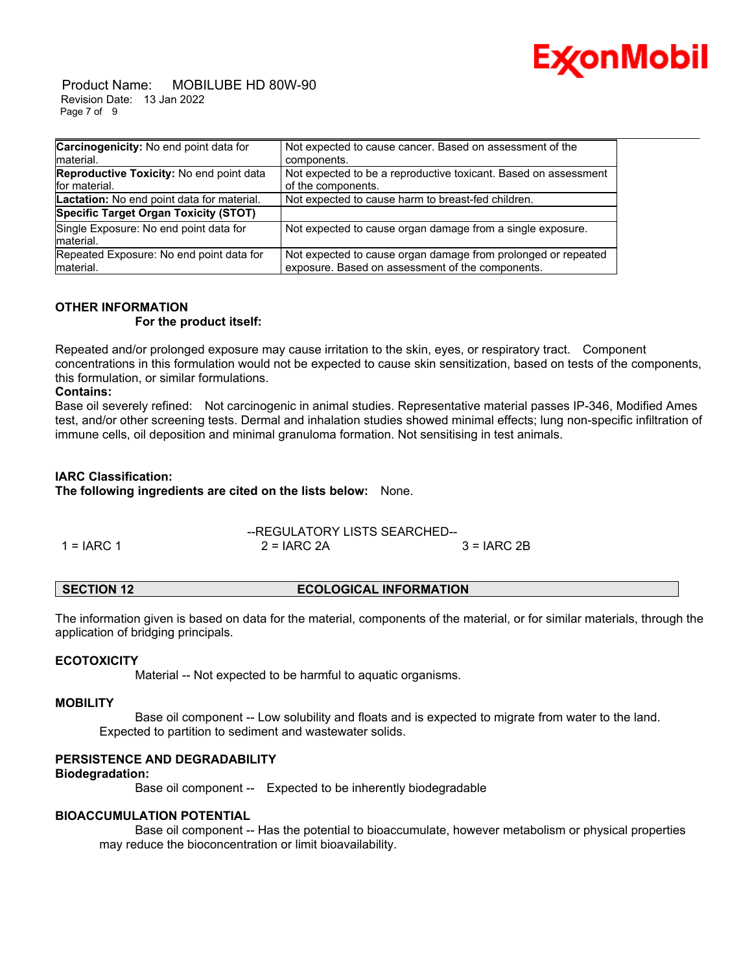

 Product Name: MOBILUBE HD 80W-90 Revision Date: 13 Jan 2022 Page 7 of 9

| Carcinogenicity: No end point data for                    | Not expected to cause cancer. Based on assessment of the                              |
|-----------------------------------------------------------|---------------------------------------------------------------------------------------|
| Imaterial.                                                | components.                                                                           |
| Reproductive Toxicity: No end point data<br>for material. | Not expected to be a reproductive toxicant. Based on assessment<br>of the components. |
| Lactation: No end point data for material.                | Not expected to cause harm to breast-fed children.                                    |
| Specific Target Organ Toxicity (STOT)                     |                                                                                       |
| Single Exposure: No end point data for                    | Not expected to cause organ damage from a single exposure.                            |
| material.                                                 |                                                                                       |
| Repeated Exposure: No end point data for                  | Not expected to cause organ damage from prolonged or repeated                         |
| material.                                                 | exposure. Based on assessment of the components.                                      |

# **OTHER INFORMATION**

#### **For the product itself:**

Repeated and/or prolonged exposure may cause irritation to the skin, eyes, or respiratory tract. Component concentrations in this formulation would not be expected to cause skin sensitization, based on tests of the components, this formulation, or similar formulations.

#### **Contains:**

Base oil severely refined: Not carcinogenic in animal studies. Representative material passes IP-346, Modified Ames test, and/or other screening tests. Dermal and inhalation studies showed minimal effects; lung non-specific infiltration of immune cells, oil deposition and minimal granuloma formation. Not sensitising in test animals.

#### **IARC Classification:**

**The following ingredients are cited on the lists below:** None.

|              | --REGULATORY LISTS SEARCHED-- |               |  |  |
|--------------|-------------------------------|---------------|--|--|
| 1 = $IARC 1$ | $2 = IARC 2A$                 | $3 = IARC 2B$ |  |  |

#### **SECTION 12 ECOLOGICAL INFORMATION**

The information given is based on data for the material, components of the material, or for similar materials, through the application of bridging principals.

#### **ECOTOXICITY**

Material -- Not expected to be harmful to aquatic organisms.

#### **MOBILITY**

 Base oil component -- Low solubility and floats and is expected to migrate from water to the land. Expected to partition to sediment and wastewater solids.

#### **PERSISTENCE AND DEGRADABILITY**

#### **Biodegradation:**

Base oil component -- Expected to be inherently biodegradable

#### **BIOACCUMULATION POTENTIAL**

 Base oil component -- Has the potential to bioaccumulate, however metabolism or physical properties may reduce the bioconcentration or limit bioavailability.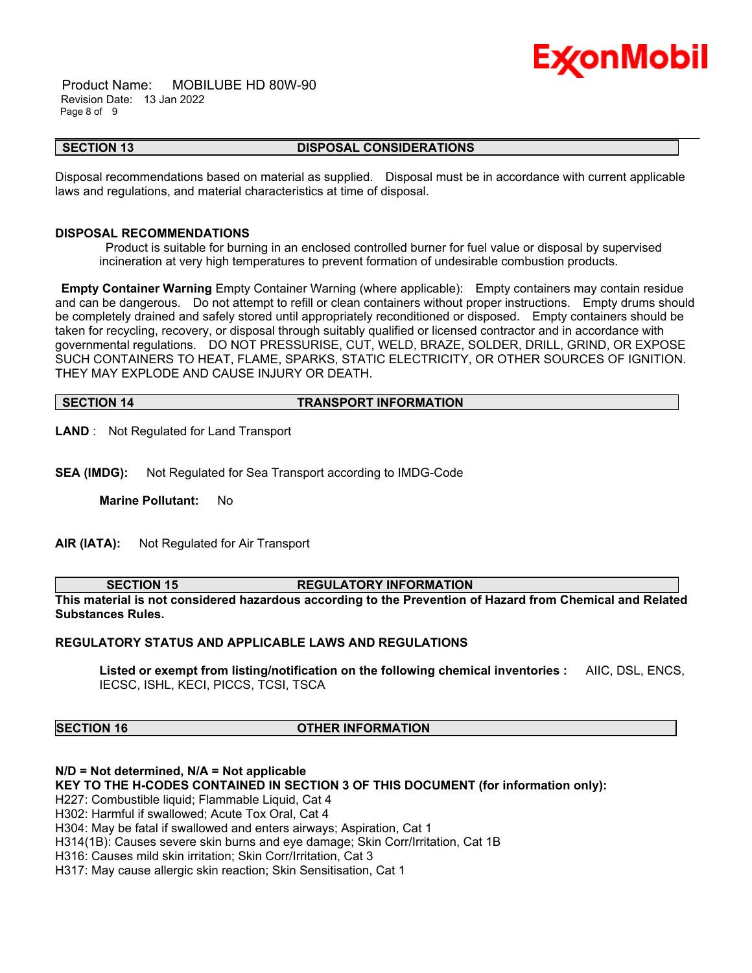

 Product Name: MOBILUBE HD 80W-90 Revision Date: 13 Jan 2022 Page 8 of 9

#### **SECTION 13 DISPOSAL CONSIDERATIONS**

\_\_\_\_\_\_\_\_\_\_\_\_\_\_\_\_\_\_\_\_\_\_\_\_\_\_\_\_\_\_\_\_\_\_\_\_\_\_\_\_\_\_\_\_\_\_\_\_\_\_\_\_\_\_\_\_\_\_\_\_\_\_\_\_\_\_\_\_\_\_\_\_\_\_\_\_\_\_\_\_\_\_\_\_\_\_\_\_\_\_\_\_\_\_\_\_\_\_\_\_\_\_\_\_\_\_\_\_\_\_\_\_\_\_\_\_\_\_

Disposal recommendations based on material as supplied. Disposal must be in accordance with current applicable laws and regulations, and material characteristics at time of disposal.

#### **DISPOSAL RECOMMENDATIONS**

Product is suitable for burning in an enclosed controlled burner for fuel value or disposal by supervised incineration at very high temperatures to prevent formation of undesirable combustion products.

**Empty Container Warning** Empty Container Warning (where applicable): Empty containers may contain residue and can be dangerous. Do not attempt to refill or clean containers without proper instructions. Empty drums should be completely drained and safely stored until appropriately reconditioned or disposed. Empty containers should be taken for recycling, recovery, or disposal through suitably qualified or licensed contractor and in accordance with governmental regulations. DO NOT PRESSURISE, CUT, WELD, BRAZE, SOLDER, DRILL, GRIND, OR EXPOSE SUCH CONTAINERS TO HEAT, FLAME, SPARKS, STATIC ELECTRICITY, OR OTHER SOURCES OF IGNITION. THEY MAY EXPLODE AND CAUSE INJURY OR DEATH.

# **SECTION 14 TRANSPORT INFORMATION**

**LAND** : Not Regulated for Land Transport

**SEA (IMDG):** Not Regulated for Sea Transport according to IMDG-Code

**Marine Pollutant:** No

**AIR (IATA):** Not Regulated for Air Transport

#### **SECTION 15 REGULATORY INFORMATION**

**This material is not considered hazardous according to the Prevention of Hazard from Chemical and Related Substances Rules.**

#### **REGULATORY STATUS AND APPLICABLE LAWS AND REGULATIONS**

**Listed or exempt from listing/notification on the following chemical inventories :** AIIC, DSL, ENCS, IECSC, ISHL, KECI, PICCS, TCSI, TSCA

#### **SECTION 16 OTHER INFORMATION**

**N/D = Not determined, N/A = Not applicable KEY TO THE H-CODES CONTAINED IN SECTION 3 OF THIS DOCUMENT (for information only):** H227: Combustible liquid; Flammable Liquid, Cat 4 H302: Harmful if swallowed; Acute Tox Oral, Cat 4 H304: May be fatal if swallowed and enters airways; Aspiration, Cat 1 H314(1B): Causes severe skin burns and eye damage; Skin Corr/Irritation, Cat 1B H316: Causes mild skin irritation; Skin Corr/Irritation, Cat 3

H317: May cause allergic skin reaction; Skin Sensitisation, Cat 1